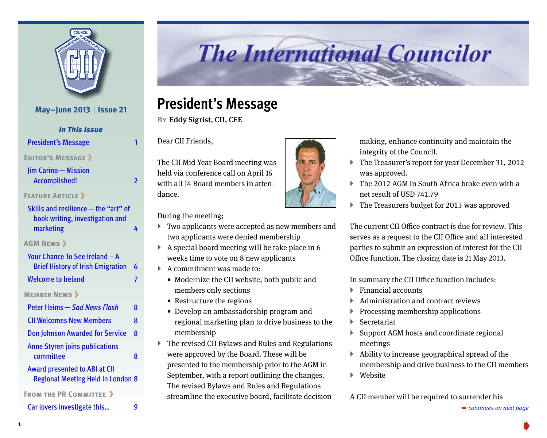

#### **May–June 2013** | **Issue 21**

*In This Issue*

President's Message

**[Editor's Message](#page-1-0)**

[Jim Carino—Mission](#page-1-0)  [Accomplished!](#page-1-0) 2

**FEATURE ARTICLE >** 

| Skills and resilience - the "art" of<br>book writing, investigation and<br>marketing | Δ |
|--------------------------------------------------------------------------------------|---|
| <b>AGM NEWS &gt;</b>                                                                 |   |
| Your Chance To See Ireland - A                                                       |   |
| <b>Brief History of Irish Emigration</b>                                             | 6 |
| <b>Welcome to Ireland</b>                                                            | 7 |
| <b>MEMBER NEWS &gt;</b>                                                              |   |
| Peter Heims — Sad News Flash                                                         | 8 |
| <b>CII Welcomes New Members</b>                                                      | 8 |
| <b>Don Johnson Awarded for Service</b>                                               | 8 |
| <b>Anne Styren joins publications</b>                                                |   |
| committee                                                                            | 8 |
| <b>Award presented to ABI at CII</b>                                                 |   |
| <b>Regional Meeting Held In London 8</b>                                             |   |
|                                                                                      |   |

**FROM THE PR COMMITTEE >** 

[Car lovers investigate this…](#page-8-0) 9 ➥ *continues on next page* 

# **The International Councilor**

# **President's Message**

**By**Eddy Sigrist, CII, CFE

Dear CII Friends,

The CII Mid Year Board meeting was held via conference call on April 16 with all 14 Board members in attendance.

During the meeting;

- $\blacktriangleright$  Two applicants were accepted as new members and two applicants were denied membership
- $\blacktriangleright$  A special board meeting will be take place in 6 weeks time to vote on 8 new applicants
- $\blacktriangleright$  A commitment was made to:
	- Modernize the CII website, both public and members only sections
	- Restructure the regions
	- Develop an ambassadorship program and regional marketing plan to drive business to the membership
- $\triangleright$  The revised CII Bylaws and Rules and Regulations were approved by the Board. These will be presented to the membership prior to the AGM in September, with a report outlining the changes. The revised Bylaws and Rules and Regulations streamline the executive board, facilitate decision



- ` The Treasurer's report for year December 31, 2012 was approved.
- The 2012 AGM in South Africa broke even with a net result of USD 741.79
- ` The Treasurers budget for 2013 was approved

The current CII Office contract is due for review. This serves as a request to the CII Office and all interested parties to submit an expression of interest for the CII Office function. The closing date is 21 May 2013.

In summary the CII Office function includes:

- $\blacktriangleright$  Financial accounts
- $\blacktriangleright$  Administration and contract reviews
- $\blacktriangleright$  Processing membership applications
- ▶ Secretariat
- $\triangleright$  Support AGM hosts and coordinate regional meetings
- $\blacktriangleright$  Ability to increase geographical spread of the membership and drive business to the CII members
- $\blacktriangleright$  Website

[A CII member will be required to surrender his](#page-1-0)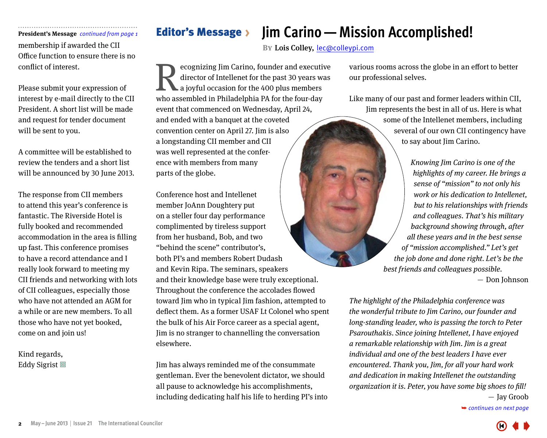membership if awarded the CII Office function to ensure there is no conflict of interest.

Please submit your expression of interest by e-mail directly to the CII President. A short list will be made and request for tender document will be sent to you.

A committee will be established to review the tenders and a short list will be announced by 30 June 2013.

The response from CII members to attend this year's conference is fantastic. The Riverside Hotel is fully booked and recommended accommodation in the area is filling up fast. This conference promises to have a record attendance and I really look forward to meeting my CII friends and networking with lots of CII colleagues, especially those who have not attended an AGM for a while or are new members. To all those who have not yet booked, come on and join us!

Kind regards, Eddy Sigrist 回

# <span id="page-1-0"></span>**President's Message** *continued from page 1* Editor's Message

# **Jim Carino—Mission Accomplished!**

**BY** Lois Colley, lec@colleypi.com

ecognizing Jim Carino, founder and executive director of Intellenet for the past 30 years was a joyful occasion for the 400 plus members ecognizing Jim Carino, founder and executive director of Intellenet for the past 30 years was a joyful occasion for the 400 plus members who assembled in Philadelphia PA for the four-day event that commenced on Wednesday, April 24, and ended with a banquet at the coveted convention center on April 27. Jim is also a longstanding CII member and CII was well represented at the conference with members from many parts of the globe.

Conference host and Intellenet member JoAnn Doughtery put on a steller four day performance complimented by tireless support from her husband, Bob, and two "behind the scene" contributor's, both PI's and members Robert Dudash and Kevin Ripa. The seminars, speakers and their knowledge base were truly exceptional. Throughout the conference the accolades flowed toward Jim who in typical Jim fashion, attempted to deflect them. As a former USAF Lt Colonel who spent the bulk of his Air Force career as a special agent, Jim is no stranger to channelling the conversation elsewhere.

Jim has always reminded me of the consummate gentleman. Ever the benevolent dictator, we should all pause to acknowledge his accomplishments, including dedicating half his life to herding PI's into

various rooms across the globe in an effort to better our professional selves.

Like many of our past and former leaders within CII, Jim represents the best in all of us. Here is what some of the Intellenet members, including several of our own CII contingency have to say about Jim Carino.

> Knowing Jim Carino is one of the highlights of my career. He brings a sense of "mission" to not only his work or his dedication to Intellenet, but to his relationships with friends and colleagues. That's his military background showing through, after all these years and in the best sense of "mission accomplished." Let's get the job done and done right. Let's be the best friends and colleagues possible.

— Don Johnson

The highlight of the Philadelphia conference was the wonderful tribute to Jim Carino, our founder and long-standing leader, who is passing the torch to Peter Psarouthakis. Since joining Intellenet, I have enjoyed a remarkable relationship with Jim. Jim is a great individual and one of the best leaders I have ever encountered. Thank you, Jim, for all your hard work and dedication in making Intellenet the outstanding organization it is. Peter, you have some big shoes to fill!  $-$  Jay Groob

➥ *[continues on next page](#page-2-0)*

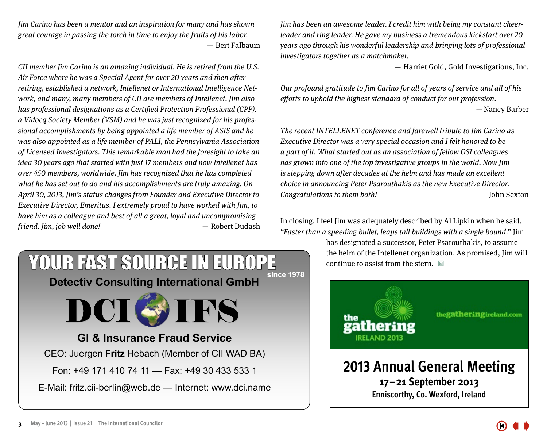<span id="page-2-0"></span>Jim Carino has been a mentor and an inspiration for many and has shown great courage in passing the torch in time to enjoy the fruits of his labor.  $-$  Bert Falbaum

CII member Jim Carino is an amazing individual. He is retired from the U.S. Air Force where he was a Special Agent for over 20 years and then after retiring, established a network, Intellenet or International Intelligence Network, and many, many members of CII are members of Intellenet. Jim also has professional designations as a Certified Protection Professional (CPP), a Vidocq Society Member (VSM) and he was just recognized for his professional accomplishments by being appointed a life member of ASIS and he was also appointed as a life member of PALI, the Pennsylvania Association of Licensed Investigators. This remarkable man had the foresight to take an idea 30 years ago that started with just 17 members and now Intellenet has over 450 members, worldwide. Jim has recognized that he has completed what he has set out to do and his accomplishments are truly amazing. On April 30, 2013, Jim's status changes from Founder and Executive Director to Executive Director, Emeritus. I extremely proud to have worked with Jim, to have him as a colleague and best of all a great, loyal and uncompromising friend. Jim, job well done! — Nobert Dudash

**Detectiv Consulting International GmbH**

YOUR FAST SOURCE IN EUROPE

**GI & Insurance Fraud Service**

**DCISIES** 

CEO: Juergen **Fritz** Hebach (Member of CII WAD BA)

E-Mail: fritz.cii-berlin@web.de — Internet: www.dci.name

Fon: +49 171 410 74 11 — Fax: +49 30 433 533 1

Jim has been an awesome leader. I credit him with being my constant cheerleader and ring leader. He gave my business a tremendous kickstart over 20 years ago through his wonderful leadership and bringing lots of professional investigators together as a matchmaker.

— Harriet Gold, Gold Investigations, Inc.

Our profound gratitude to Jim Carino for all of years of service and all of his efforts to uphold the highest standard of conduct for our profession. — Nancy Barber

The recent INTELLENET conference and farewell tribute to Jim Carino as Executive Director was a very special occasion and I felt honored to be a part of it. What started out as an association of fellow OSI colleagues has grown into one of the top investigative groups in the world. Now Jim is stepping down after decades at the helm and has made an excellent choice in announcing Peter Psarouthakis as the new Executive Director.  $Congratulations to them both!$   $\qquad \qquad John Sexton$ 

In closing, I feel Jim was adequately described by Al Lipkin when he said, "Faster than a speeding bullet, leaps tall buildings with a single bound." Jim

> has designated a successor, Peter Psarouthakis, to assume the helm of the Intellenet organization. As promised, Jim will continue to assist from the stern.  $\Box$



**since 1978** 

thegatheringireland.com

**2013 Annual General Meeting 17–21 September 2013 Enniscorthy, Co. Wexford, Ireland**

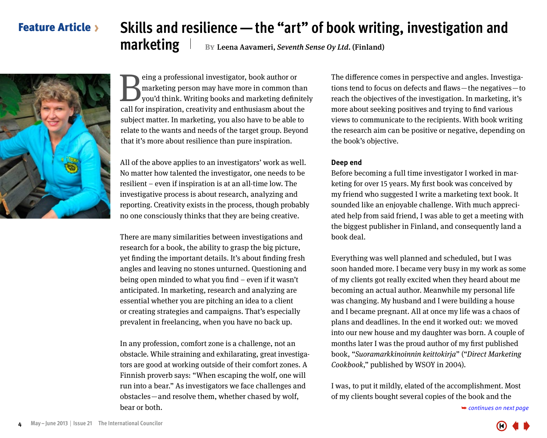#### <span id="page-3-0"></span>Feature Article

# **Skills and resilience—the "art" of book writing, investigation and**

**marketing By Leena Aavameri, Seventh Sense Oy Ltd. (Finland)** 



Eling a professional investigator, book author or<br>marketing person may have more in common the you'd think. Writing books and marketing defined<br>call for inspiration, creativity and enthusiasm about the marketing person may have more in common than you'd think. Writing books and marketing definitely call for inspiration, creativity and enthusiasm about the subject matter. In marketing, you also have to be able to relate to the wants and needs of the target group. Beyond that it's more about resilience than pure inspiration.

All of the above applies to an investigators' work as well. No matter how talented the investigator, one needs to be resilient – even if inspiration is at an all-time low. The investigative process is about research, analyzing and reporting. Creativity exists in the process, though probably no one consciously thinks that they are being creative.

There are many similarities between investigations and research for a book, the ability to grasp the big picture, yet finding the important details. It's about finding fresh angles and leaving no stones unturned. Questioning and being open minded to what you find – even if it wasn't anticipated. In marketing, research and analyzing are essential whether you are pitching an idea to a client or creating strategies and campaigns. That's especially prevalent in freelancing, when you have no back up.

In any profession, comfort zone is a challenge, not an obstacle. While straining and exhilarating, great investigators are good at working outside of their comfort zones. A Finnish proverb says: "When escaping the wolf, one will run into a bear." As investigators we face challenges and obstacles — and resolve them, whether chased by wolf, bear or both.

The difference comes in perspective and angles. Investigations tend to focus on defects and flaws — the negatives — to reach the objectives of the investigation. In marketing, it's more about seeking positives and trying to find various views to communicate to the recipients. With book writing the research aim can be positive or negative, depending on the book's objective.

#### **Deep end**

Before becoming a full time investigator I worked in marketing for over 15 years. My first book was conceived by my friend who suggested I write a marketing text book. It sounded like an enjoyable challenge. With much appreciated help from said friend, I was able to get a meeting with the biggest publisher in Finland, and consequently land a book deal.

Everything was well planned and scheduled, but I was soon handed more. I became very busy in my work as some of my clients got really excited when they heard about me becoming an actual author. Meanwhile my personal life was changing. My husband and I were building a house and I became pregnant. All at once my life was a chaos of plans and deadlines. In the end it worked out: we moved into our new house and my daughter was born. A couple of months later I was the proud author of my first published book, "Suoramarkkinoinnin keittokirja" ("Direct Marketing Cookbook," published by WSOY in 2004).

I was, to put it mildly, elated of the accomplishment. Most of my clients bought several copies of the book and the

➥ *[continues on next page](#page-4-0)*

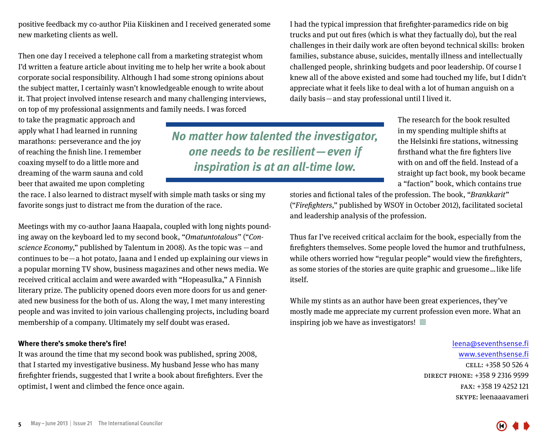<span id="page-4-0"></span>positive feedback my co-author Piia Kiiskinen and I received generated some new marketing clients as well.

Then one day I received a telephone call from a marketing strategist whom I'd written a feature article about inviting me to help her write a book about corporate social responsibility. Although I had some strong opinions about the subject matter, I certainly wasn't knowledgeable enough to write about it. That project involved intense research and many challenging interviews, on top of my professional assignments and family needs. I was forced

to take the pragmatic approach and apply what I had learned in running marathons: perseverance and the joy of reaching the finish line. I remember coaxing myself to do a little more and dreaming of the warm sauna and cold beer that awaited me upon completing

*No matter how talented the investigator, one needs to be resilient—even if inspiration is at an all-time low.*

The research for the book resulted in my spending multiple shifts at the Helsinki fire stations, witnessing firsthand what the fire fighters live with on and off the field. Instead of a straight up fact book, my book became a "faction" book, which contains true

the race. I also learned to distract myself with simple math tasks or sing my favorite songs just to distract me from the duration of the race.

Meetings with my co-author Jaana Haapala, coupled with long nights pounding away on the keyboard led to my second book, "Omatuntotalous" ("Conscience Economy," published by Talentum in 2008). As the topic was  $-$  and continues to be  $-$  a hot potato, Jaana and I ended up explaining our views in a popular morning TV show, business magazines and other news media. We received critical acclaim and were awarded with "Hopeasulka," A Finnish literary prize. The publicity opened doors even more doors for us and generated new business for the both of us. Along the way, I met many interesting people and was invited to join various challenging projects, including board membership of a company. Ultimately my self doubt was erased.

#### **Where there's smoke there's fire!**

It was around the time that my second book was published, spring 2008, that I started my investigative business. My husband Jesse who has many firefighter friends, suggested that I write a book about firefighters. Ever the optimist, I went and climbed the fence once again.

stories and fictional tales of the profession. The book, "Brankkarit" ("Firefighters," published by WSOY in October 2012), facilitated societal and leadership analysis of the profession.

I had the typical impression that firefighter-paramedics ride on big trucks and put out fires (which is what they factually do), but the real challenges in their daily work are often beyond technical skills: broken families, substance abuse, suicides, mentally illness and intellectually challenged people, shrinking budgets and poor leadership. Of course I knew all of the above existed and some had touched my life, but I didn't appreciate what it feels like to deal with a lot of human anguish on a

daily basis — and stay professional until I lived it.

Thus far I've received critical acclaim for the book, especially from the firefighters themselves. Some people loved the humor and truthfulness, while others worried how "regular people" would view the firefighters, as some stories of the stories are quite graphic and gruesome … like life itself.

While my stints as an author have been great experiences, they've mostly made me appreciate my current profession even more. What an inspiring job we have as investigators!  $\Box$ 

> leena@seventhsense.fi www.seventhsense.fi cell: +358 50 526 4 direct phone: +358 9 2316 9599 fax: +358 19 4252 121 skype: leenaaavameri

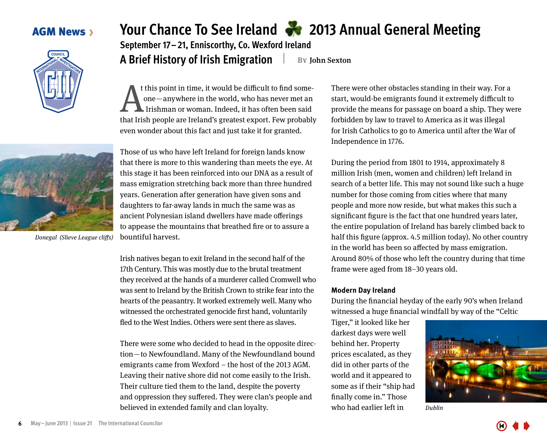#### <span id="page-5-0"></span>**AGM News >**



Donegal (Slieve League cliffs)

# **Your Chance To See Ireland 2013 Annual General Meeting**

**September 17–21, Enniscorthy, Co. Wexford Ireland A Brief History of Irish Emigration By** John Sexton

t this point in time, it would be difficult to find someone — anywhere in the world, who has never met an Irishman or woman. Indeed, it has often been said t this point in time, it would be difficult to find some-<br>one—anywhere in the world, who has never met an<br>Irishman or woman. Indeed, it has often been said<br>that Irish people are Ireland's greatest export. Few probably even wonder about this fact and just take it for granted.

Those of us who have left Ireland for foreign lands know that there is more to this wandering than meets the eye. At this stage it has been reinforced into our DNA as a result of mass emigration stretching back more than three hundred years. Generation after generation have given sons and daughters to far-away lands in much the same was as ancient Polynesian island dwellers have made offerings to appease the mountains that breathed fire or to assure a bountiful harvest.

Irish natives began to exit Ireland in the second half of the 17th Century. This was mostly due to the brutal treatment they received at the hands of a murderer called Cromwell who was sent to Ireland by the British Crown to strike fear into the hearts of the peasantry. It worked extremely well. Many who witnessed the orchestrated genocide first hand, voluntarily fled to the West Indies. Others were sent there as slaves.

There were some who decided to head in the opposite direction—to Newfoundland. Many of the Newfoundland bound emigrants came from Wexford – the host of the 2013 AGM. Leaving their native shore did not come easily to the Irish. Their culture tied them to the land, despite the poverty and oppression they suffered. They were clan's people and believed in extended family and clan loyalty.

There were other obstacles standing in their way. For a start, would-be emigrants found it extremely difficult to provide the means for passage on board a ship. They were forbidden by law to travel to America as it was illegal for Irish Catholics to go to America until after the War of Independence in 1776.

During the period from 1801 to 1914, approximately 8 million Irish (men, women and children) left Ireland in search of a better life. This may not sound like such a huge number for those coming from cities where that many people and more now reside, but what makes this such a significant figure is the fact that one hundred years later, the entire population of Ireland has barely climbed back to half this figure (approx. 4.5 million today). No other country in the world has been so affected by mass emigration. Around 80% of those who left the country during that time frame were aged from 18–30 years old.

#### **Modern Day Ireland**

During the financial heyday of the early 90's when Ireland witnessed a huge financial windfall by way of the "Celtic

Tiger," it looked like her darkest days were well behind her. Property prices escalated, as they did in other parts of the world and it appeared to some as if their "ship had finally come in." Those who had earlier left in



Dublin



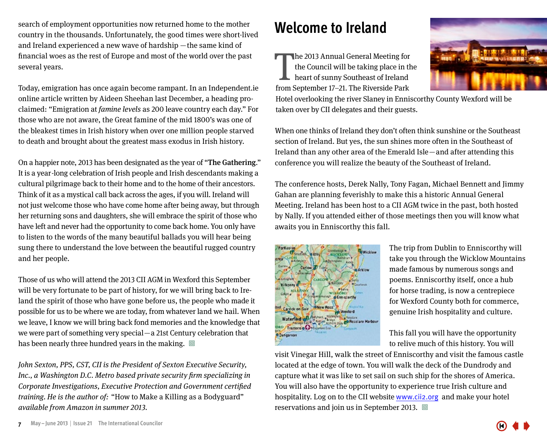<span id="page-6-0"></span>search of employment opportunities now returned home to the mother country in the thousands. Unfortunately, the good times were short-lived and Ireland experienced a new wave of hardship — the same kind of financial woes as the rest of Europe and most of the world over the past several years.

Today, emigration has once again become rampant. In an Independent.ie online article written by Aideen Sheehan last December, a heading proclaimed: "Emigration at famine levels as 200 leave country each day." For those who are not aware, the Great famine of the mid 1800's was one of the bleakest times in Irish history when over one million people starved to death and brought about the greatest mass exodus in Irish history.

On a happier note, 2013 has been designated as the year of "The Gathering." It is a year -long celebration of Irish people and Irish descendants making a cultural pilgrimage back to their home and to the home of their ancestors. Think of it as a mystical call back across the ages, if you will. Ireland will not just welcome those who have come home after being away, but through her returning sons and daughters, she will embrace the spirit of those who have left and never had the opportunity to come back home. You only have to listen to the words of the many beautiful ballads you will hear being sung there to understand the love between the beautiful rugged country and her people.

Those of us who will attend the 2013 CII AGM in Wexford this September will be very fortunate to be part of history, for we will bring back to Ireland the spirit of those who have gone before us, the people who made it possible for us to be where we are today, from whatever land we hail. When we leave, I know we will bring back fond memories and the knowledge that we were part of something very special — a 21st Century celebration that has been nearly three hundred years in the making.  $\Box$ 

John Sexton, PPS, CST, CII is the President of Sexton Executive Security, Inc., a Washington D.C. Metro based private security firm specializing in Corporate Investigations, Executive Protection and Government certified training. He is the author of: "How to Make a Killing as a Bodyguard" available from Amazon in summer 2013.

# **Welcome to Ireland**

The 2013 Annual General Meeting for<br>the Council will be taking place in the<br>heart of sunny Southeast of Ireland<br>from September 17–21. The Riverside Park he 2013 Annual General Meeting for the Council will be taking place in the heart of sunny Southeast of Ireland



Hotel overlooking the river Slaney in Enniscorthy County Wexford will be taken over by CII delegates and their guests.

When one thinks of Ireland they don't often think sunshine or the Southeast section of Ireland. But yes, the sun shines more often in the Southeast of Ireland than any other area of the Emerald Isle — and after attending this conference you will realize the beauty of the Southeast of Ireland.

The conference hosts, Derek Nally, Tony Fagan, Michael Bennett and Jimmy Gahan are planning feverishly to make this a historic Annual General Meeting. Ireland has been host to a CII AGM twice in the past, both hosted by Nally. If you attended either of those meetings then you will know what awaits you in Enniscorthy this fall.



The trip from Dublin to Enniscorthy will take you through the Wicklow Mountains made famous by numerous songs and poems. Enniscorthy itself, once a hub for horse trading, is now a centrepiece for Wexford County both for commerce, genuine Irish hospitality and culture.

This fall you will have the opportunity to relive much of this history. You will

visit Vinegar Hill, walk the street of Enniscorthy and visit the famous castle located at the edge of town. You will walk the deck of the Dundrody and capture what it was like to set sail on such ship for the shores of America. You will also have the opportunity to experience true Irish culture and hospitality. Log on to the CII website www.cii2.org and make your hotel reservations and join us in September 2013.  $\Box$ 

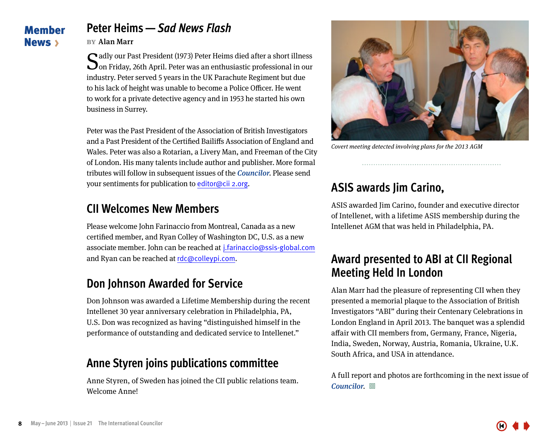#### <span id="page-7-0"></span>Member News **>**

# **Peter Heims—***Sad News Flash*

#### **by**Alan Marr

Sadly our Past President (1973) Peter Heims died after a short illness on Friday, 26th April. Peter was an enthusiastic professional in our industry. Peter served 5 years in the UK Parachute Regiment but due to his lack of height was unable to become a Police Officer. He went to work for a private detective agency and in 1953 he started his own business in Surrey.

Peter was the Past President of the Association of British Investigators and a Past President of the Certified Bailiffs Association of England and Wales. Peter was also a Rotarian, a Livery Man, and Freeman of the City of London. His many talents include author and publisher. More formal tributes will follow in subsequent issues of the Councilor. Please send your sentiments for publication to editor@cii 2.org.

# **CII Welcomes New Members**

Please welcome John Farinaccio from Montreal, Canada as a new certified member, and Ryan Colley of Washington DC, U.S. as a new associate member. John can be reached at  j.farinaccio@ssis-global.com and Ryan can be reached at rdc@colleypi.com.

# **Don Johnson Awarded for Service**

Don Johnson was awarded a Lifetime Membership during the recent Intellenet 30 year anniversary celebration in Philadelphia, PA, U.S. Don was recognized as having "distinguished himself in the performance of outstanding and dedicated service to Intellenet."

## **Anne Styren joins publications committee**

Anne Styren, of Sweden has joined the CII public relations team. Welcome Anne!



Covert meeting detected involving plans for the 2013 AGM

# **ASIS awards Jim Carino,**

ASIS awarded Jim Carino, founder and executive director of Intellenet, with a lifetime ASIS membership during the Intellenet AGM that was held in Philadelphia, PA.

### **Award presented to ABI at CII Regional Meeting Held In London**

Alan Marr had the pleasure of representing CII when they presented a memorial plaque to the Association of British Investigators "ABI" during their Centenary Celebrations in London England in April 2013. The banquet was a splendid affair with CII members from, Germany, France, Nigeria, India, Sweden, Norway, Austria, Romania, Ukraine, U.K. South Africa, and USA in attendance.

A full report and photos are forthcoming in the next issue of  $Counter. \n\mathrel{\square}$